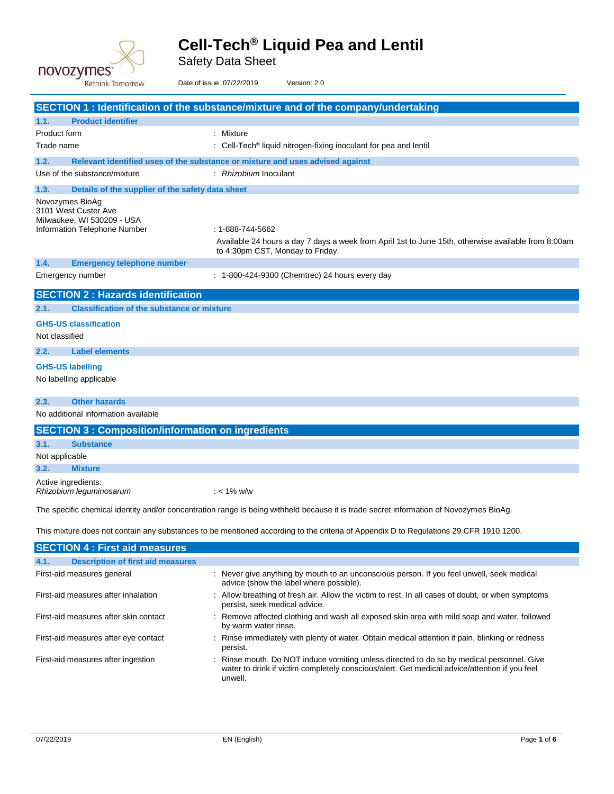

Safety Data Sheet

|                                                                       | Rethink Tomorrow                                         | Date of issue: 07/22/2019 |                                                      | Version: 2.0                                                                                                                           |
|-----------------------------------------------------------------------|----------------------------------------------------------|---------------------------|------------------------------------------------------|----------------------------------------------------------------------------------------------------------------------------------------|
|                                                                       |                                                          |                           |                                                      | <b>SECTION 1: Identification of the substance/mixture and of the company/undertaking</b>                                               |
| 1.1.                                                                  | <b>Product identifier</b>                                |                           |                                                      |                                                                                                                                        |
| Product form                                                          |                                                          |                           | : Mixture                                            |                                                                                                                                        |
| Trade name                                                            |                                                          |                           |                                                      | $\therefore$ Cell-Tech <sup>®</sup> liquid nitrogen-fixing inoculant for pea and lentil                                                |
| 1.2.                                                                  |                                                          |                           |                                                      | Relevant identified uses of the substance or mixture and uses advised against                                                          |
| Use of the substance/mixture                                          |                                                          |                           | : Rhizobium Inoculant                                |                                                                                                                                        |
| 1.3.                                                                  | Details of the supplier of the safety data sheet         |                           |                                                      |                                                                                                                                        |
| Novozymes BioAq<br>3101 West Custer Ave<br>Milwaukee, WI 530209 - USA | Information Telephone Number                             |                           | : 1-888-744-5662<br>to 4:30pm CST, Monday to Friday. | Available 24 hours a day 7 days a week from April 1st to June 15th, otherwise available from 8:00am                                    |
| 1.4.                                                                  | <b>Emergency telephone number</b>                        |                           |                                                      |                                                                                                                                        |
| Emergency number                                                      |                                                          |                           |                                                      | : 1-800-424-9300 (Chemtrec) 24 hours every day                                                                                         |
|                                                                       | <b>SECTION 2: Hazards identification</b>                 |                           |                                                      |                                                                                                                                        |
| 2.1.                                                                  | <b>Classification of the substance or mixture</b>        |                           |                                                      |                                                                                                                                        |
| <b>GHS-US classification</b><br>Not classified                        |                                                          |                           |                                                      |                                                                                                                                        |
| 2.2.                                                                  | <b>Label elements</b>                                    |                           |                                                      |                                                                                                                                        |
| <b>GHS-US labelling</b><br>No labelling applicable                    |                                                          |                           |                                                      |                                                                                                                                        |
| 2.3.                                                                  | <b>Other hazards</b>                                     |                           |                                                      |                                                                                                                                        |
|                                                                       | No additional information available                      |                           |                                                      |                                                                                                                                        |
|                                                                       | <b>SECTION 3: Composition/information on ingredients</b> |                           |                                                      |                                                                                                                                        |
| 3.1.<br><b>Substance</b>                                              |                                                          |                           |                                                      |                                                                                                                                        |
| Not applicable                                                        |                                                          |                           |                                                      |                                                                                                                                        |
| 3.2.<br><b>Mixture</b>                                                |                                                          |                           |                                                      |                                                                                                                                        |
| Active ingredients:<br>Rhizobium leguminosarum                        |                                                          |                           | ∶ < 1% w/w                                           |                                                                                                                                        |
|                                                                       |                                                          |                           |                                                      | The specific chemical identity and/or concentration range is being withheld because it is trade secret information of Novozymes BioAg. |
|                                                                       |                                                          |                           |                                                      | This mixture does not contain any substances to be mentioned according to the criteria of Appendix D to Regulations 29 CFR 1910.1200.  |
|                                                                       | <b>SECTION 4 : First aid measures</b>                    |                           |                                                      |                                                                                                                                        |
| 4.1.                                                                  | <b>Description of first aid measures</b>                 |                           |                                                      |                                                                                                                                        |
| First-aid measures general                                            |                                                          |                           |                                                      | : Never give anything by mouth to an unconscious person. If you feel unwell, seek medical<br>advice (show the label where possible).   |
|                                                                       | First-aid measures after inhalation                      |                           | persist, seek medical advice.                        | : Allow breathing of fresh air. Allow the victim to rest. In all cases of doubt, or when symptoms                                      |
|                                                                       | First-aid measures after skin contact                    |                           | by warm water rinse.                                 | : Remove affected clothing and wash all exposed skin area with mild soap and water, followed                                           |
|                                                                       | First-aid measures after eye contact                     |                           | persist.                                             | : Rinse immediately with plenty of water. Obtain medical attention if pain, blinking or redness                                        |

First-aid measures after ingestion : Rinse mouth. Do NOT induce vomiting unless directed to do so by medical personnel. Give water to drink if victim completely conscious/alert. Get medical advice/attention if you feel unwell.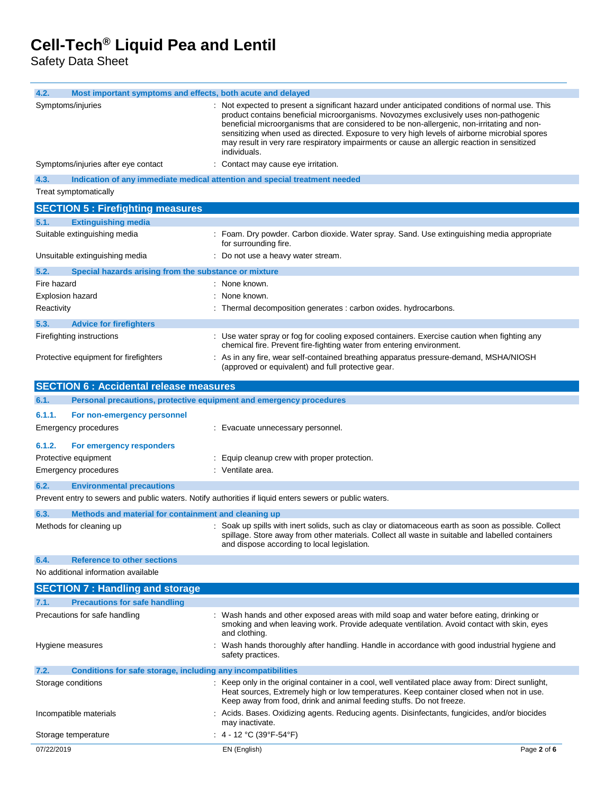Safety Data Sheet

| 4.2.<br>Most important symptoms and effects, both acute and delayed                                     |                                                                                                                                                                                                                                                                                                                                                                                                                                                                                      |  |  |
|---------------------------------------------------------------------------------------------------------|--------------------------------------------------------------------------------------------------------------------------------------------------------------------------------------------------------------------------------------------------------------------------------------------------------------------------------------------------------------------------------------------------------------------------------------------------------------------------------------|--|--|
| Symptoms/injuries                                                                                       | Not expected to present a significant hazard under anticipated conditions of normal use. This<br>product contains beneficial microorganisms. Novozymes exclusively uses non-pathogenic<br>beneficial microorganisms that are considered to be non-allergenic, non-irritating and non-<br>sensitizing when used as directed. Exposure to very high levels of airborne microbial spores<br>may result in very rare respiratory impairments or cause an allergic reaction in sensitized |  |  |
| Symptoms/injuries after eye contact                                                                     | individuals.<br>Contact may cause eye irritation.                                                                                                                                                                                                                                                                                                                                                                                                                                    |  |  |
| 4.3.<br>Indication of any immediate medical attention and special treatment needed                      |                                                                                                                                                                                                                                                                                                                                                                                                                                                                                      |  |  |
| Treat symptomatically                                                                                   |                                                                                                                                                                                                                                                                                                                                                                                                                                                                                      |  |  |
| <b>SECTION 5: Firefighting measures</b>                                                                 |                                                                                                                                                                                                                                                                                                                                                                                                                                                                                      |  |  |
| <b>Extinguishing media</b><br>5.1.                                                                      |                                                                                                                                                                                                                                                                                                                                                                                                                                                                                      |  |  |
| Suitable extinguishing media                                                                            | : Foam. Dry powder. Carbon dioxide. Water spray. Sand. Use extinguishing media appropriate                                                                                                                                                                                                                                                                                                                                                                                           |  |  |
|                                                                                                         | for surrounding fire.                                                                                                                                                                                                                                                                                                                                                                                                                                                                |  |  |
| Unsuitable extinguishing media                                                                          | Do not use a heavy water stream.                                                                                                                                                                                                                                                                                                                                                                                                                                                     |  |  |
| 5.2.<br>Special hazards arising from the substance or mixture                                           |                                                                                                                                                                                                                                                                                                                                                                                                                                                                                      |  |  |
| Fire hazard                                                                                             | : None known.                                                                                                                                                                                                                                                                                                                                                                                                                                                                        |  |  |
| <b>Explosion hazard</b>                                                                                 | None known.                                                                                                                                                                                                                                                                                                                                                                                                                                                                          |  |  |
| Reactivity                                                                                              | : Thermal decomposition generates : carbon oxides. hydrocarbons.                                                                                                                                                                                                                                                                                                                                                                                                                     |  |  |
| 5.3.<br><b>Advice for firefighters</b>                                                                  |                                                                                                                                                                                                                                                                                                                                                                                                                                                                                      |  |  |
| Firefighting instructions                                                                               | : Use water spray or fog for cooling exposed containers. Exercise caution when fighting any<br>chemical fire. Prevent fire-fighting water from entering environment.                                                                                                                                                                                                                                                                                                                 |  |  |
| Protective equipment for firefighters                                                                   | : As in any fire, wear self-contained breathing apparatus pressure-demand, MSHA/NIOSH<br>(approved or equivalent) and full protective gear.                                                                                                                                                                                                                                                                                                                                          |  |  |
| <b>SECTION 6 : Accidental release measures</b>                                                          |                                                                                                                                                                                                                                                                                                                                                                                                                                                                                      |  |  |
| 6.1.<br>Personal precautions, protective equipment and emergency procedures                             |                                                                                                                                                                                                                                                                                                                                                                                                                                                                                      |  |  |
| 6.1.1.<br>For non-emergency personnel<br><b>Emergency procedures</b>                                    | : Evacuate unnecessary personnel.                                                                                                                                                                                                                                                                                                                                                                                                                                                    |  |  |
| 6.1.2.<br>For emergency responders                                                                      |                                                                                                                                                                                                                                                                                                                                                                                                                                                                                      |  |  |
| Protective equipment                                                                                    | : Equip cleanup crew with proper protection.                                                                                                                                                                                                                                                                                                                                                                                                                                         |  |  |
| <b>Emergency procedures</b>                                                                             | : Ventilate area.                                                                                                                                                                                                                                                                                                                                                                                                                                                                    |  |  |
| 6.2.<br><b>Environmental precautions</b>                                                                |                                                                                                                                                                                                                                                                                                                                                                                                                                                                                      |  |  |
| Prevent entry to sewers and public waters. Notify authorities if liquid enters sewers or public waters. |                                                                                                                                                                                                                                                                                                                                                                                                                                                                                      |  |  |
| Methods and material for containment and cleaning up<br>6.3.                                            |                                                                                                                                                                                                                                                                                                                                                                                                                                                                                      |  |  |
| Methods for cleaning up                                                                                 | : Soak up spills with inert solids, such as clay or diatomaceous earth as soon as possible. Collect<br>spillage. Store away from other materials. Collect all waste in suitable and labelled containers<br>and dispose according to local legislation.                                                                                                                                                                                                                               |  |  |
| 6.4.<br><b>Reference to other sections</b>                                                              |                                                                                                                                                                                                                                                                                                                                                                                                                                                                                      |  |  |
| No additional information available                                                                     |                                                                                                                                                                                                                                                                                                                                                                                                                                                                                      |  |  |
| <b>SECTION 7: Handling and storage</b>                                                                  |                                                                                                                                                                                                                                                                                                                                                                                                                                                                                      |  |  |
| <b>Precautions for safe handling</b><br>7.1.                                                            |                                                                                                                                                                                                                                                                                                                                                                                                                                                                                      |  |  |
| Precautions for safe handling                                                                           | : Wash hands and other exposed areas with mild soap and water before eating, drinking or<br>smoking and when leaving work. Provide adequate ventilation. Avoid contact with skin, eyes<br>and clothing.                                                                                                                                                                                                                                                                              |  |  |
| Hygiene measures                                                                                        | Wash hands thoroughly after handling. Handle in accordance with good industrial hygiene and<br>safety practices.                                                                                                                                                                                                                                                                                                                                                                     |  |  |
| Conditions for safe storage, including any incompatibilities<br>7.2.                                    |                                                                                                                                                                                                                                                                                                                                                                                                                                                                                      |  |  |
| Storage conditions                                                                                      | Keep only in the original container in a cool, well ventilated place away from: Direct sunlight,<br>Heat sources, Extremely high or low temperatures. Keep container closed when not in use.<br>Keep away from food, drink and animal feeding stuffs. Do not freeze.                                                                                                                                                                                                                 |  |  |
| Incompatible materials                                                                                  | Acids. Bases. Oxidizing agents. Reducing agents. Disinfectants, fungicides, and/or biocides<br>may inactivate.                                                                                                                                                                                                                                                                                                                                                                       |  |  |
| Storage temperature                                                                                     | : $4 - 12$ °C (39°F-54°F)                                                                                                                                                                                                                                                                                                                                                                                                                                                            |  |  |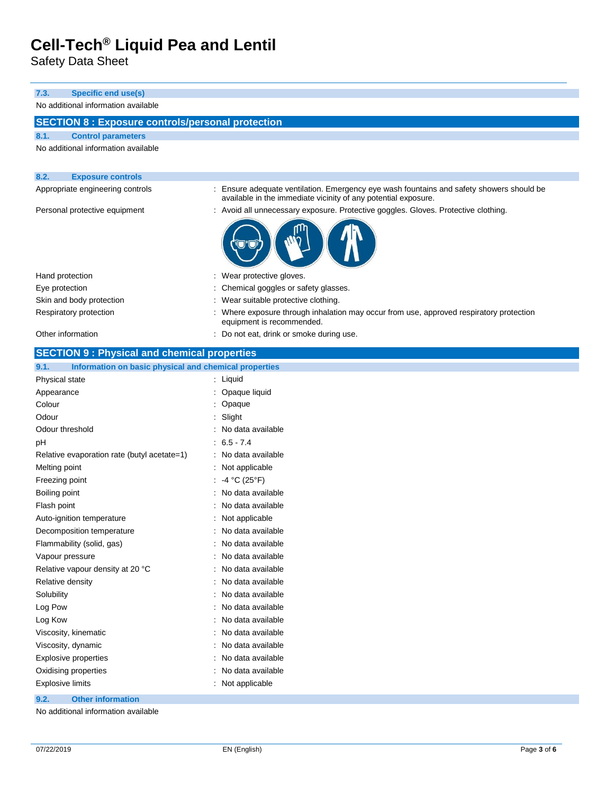Safety Data Sheet

#### **7.3. Specific end use(s)** No additional information available **SECTION 8 : Exposure controls/personal protection 8.1. Control parameters** No additional information available **8.2. Exposure controls** Appropriate engineering controls : Ensure adequate ventilation. Emergency eye wash fountains and safety showers should be available in the immediate vicinity of any potential exposure. Personal protective equipment : Avoid all unnecessary exposure. Protective goggles. Gloves. Protective clothing. Hand protection **in the set of the set of the set of the set of the set of the set of the set of the set of the set of the set of the set of the set of the set of the set of the set of the set of the set of the set of the** Eye protection **Exercise 1** Chemical goggles or safety glasses. Skin and body protection **in the suitable protective clothing** of the suitable protective clothing. Respiratory protection : Where exposure through inhalation may occur from use, approved respiratory protection equipment is recommended. Other information **interest in the contract of the contract of the contract of the contract of the CO** not eat, drink or smoke during use. **SECTION 9 : Physical and chemical properties**

| Information on basic physical and chemical properties<br>9.1. |                   |
|---------------------------------------------------------------|-------------------|
| Physical state                                                | Liquid            |
| Appearance                                                    | Opaque liquid     |
| Colour                                                        | Opaque            |
| Odour                                                         | Slight            |
| Odour threshold                                               | No data available |
| рH                                                            | $6.5 - 7.4$       |
| Relative evaporation rate (butyl acetate=1)                   | No data available |
| Melting point                                                 | Not applicable    |
| Freezing point                                                | -4 °C (25°F)      |
| Boiling point                                                 | No data available |
| Flash point                                                   | No data available |
| Auto-ignition temperature                                     | Not applicable    |
| Decomposition temperature                                     | No data available |
| Flammability (solid, gas)                                     | No data available |
| Vapour pressure                                               | No data available |
| Relative vapour density at 20 °C                              | No data available |
| Relative density                                              | No data available |
| Solubility                                                    | No data available |
| Log Pow                                                       | No data available |
| Log Kow                                                       | No data available |
| Viscosity, kinematic                                          | No data available |
| Viscosity, dynamic                                            | No data available |
| <b>Explosive properties</b>                                   | No data available |
| Oxidising properties                                          | No data available |
| <b>Explosive limits</b>                                       | Not applicable    |
|                                                               |                   |

**9.2. Other information**

No additional information available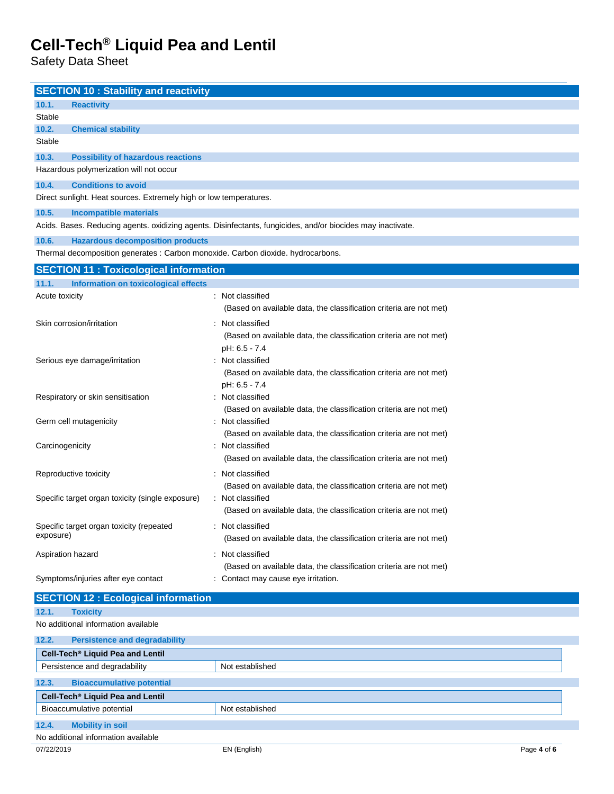Safety Data Sheet

|                 | <b>SECTION 10: Stability and reactivity</b>                                                      |                                                                                                             |             |
|-----------------|--------------------------------------------------------------------------------------------------|-------------------------------------------------------------------------------------------------------------|-------------|
| 10.1.           | <b>Reactivity</b>                                                                                |                                                                                                             |             |
| Stable          |                                                                                                  |                                                                                                             |             |
| 10.2.           | <b>Chemical stability</b>                                                                        |                                                                                                             |             |
| Stable          |                                                                                                  |                                                                                                             |             |
| 10.3.           | <b>Possibility of hazardous reactions</b>                                                        |                                                                                                             |             |
|                 | Hazardous polymerization will not occur                                                          |                                                                                                             |             |
| 10.4.           | <b>Conditions to avoid</b><br>Direct sunlight. Heat sources. Extremely high or low temperatures. |                                                                                                             |             |
|                 |                                                                                                  |                                                                                                             |             |
| 10.5.           | <b>Incompatible materials</b>                                                                    | Acids. Bases. Reducing agents. oxidizing agents. Disinfectants, fungicides, and/or biocides may inactivate. |             |
| 10.6.           | <b>Hazardous decomposition products</b>                                                          |                                                                                                             |             |
|                 | Thermal decomposition generates : Carbon monoxide. Carbon dioxide. hydrocarbons.                 |                                                                                                             |             |
|                 | <b>SECTION 11: Toxicological information</b>                                                     |                                                                                                             |             |
| 11.1.           | <b>Information on toxicological effects</b>                                                      |                                                                                                             |             |
| Acute toxicity  |                                                                                                  | : Not classified                                                                                            |             |
|                 |                                                                                                  | (Based on available data, the classification criteria are not met)                                          |             |
|                 | Skin corrosion/irritation                                                                        | Not classified                                                                                              |             |
|                 |                                                                                                  | (Based on available data, the classification criteria are not met)                                          |             |
|                 |                                                                                                  | pH: 6.5 - 7.4<br>Not classified                                                                             |             |
|                 | Serious eye damage/irritation                                                                    | (Based on available data, the classification criteria are not met)                                          |             |
|                 |                                                                                                  | pH: 6.5 - 7.4                                                                                               |             |
|                 | Respiratory or skin sensitisation                                                                | : Not classified                                                                                            |             |
|                 |                                                                                                  | (Based on available data, the classification criteria are not met)                                          |             |
|                 | Germ cell mutagenicity                                                                           | : Not classified                                                                                            |             |
| Carcinogenicity |                                                                                                  | (Based on available data, the classification criteria are not met)<br>: Not classified                      |             |
|                 |                                                                                                  | (Based on available data, the classification criteria are not met)                                          |             |
|                 | Reproductive toxicity                                                                            | Not classified                                                                                              |             |
|                 |                                                                                                  | (Based on available data, the classification criteria are not met)                                          |             |
|                 | Specific target organ toxicity (single exposure)                                                 | Not classified                                                                                              |             |
|                 |                                                                                                  | (Based on available data, the classification criteria are not met)                                          |             |
|                 | Specific target organ toxicity (repeated                                                         | Not classified                                                                                              |             |
| exposure)       |                                                                                                  | (Based on available data, the classification criteria are not met)                                          |             |
|                 | Aspiration hazard                                                                                | : Not classified                                                                                            |             |
|                 |                                                                                                  | (Based on available data, the classification criteria are not met)                                          |             |
|                 | Symptoms/injuries after eye contact                                                              | : Contact may cause eye irritation.                                                                         |             |
|                 | <b>SECTION 12 : Ecological information</b>                                                       |                                                                                                             |             |
| 12.1.           | <b>Toxicity</b>                                                                                  |                                                                                                             |             |
|                 | No additional information available                                                              |                                                                                                             |             |
| 12.2.           | <b>Persistence and degradability</b>                                                             |                                                                                                             |             |
|                 | Cell-Tech <sup>®</sup> Liquid Pea and Lentil<br>Persistence and degradability                    | Not established                                                                                             |             |
|                 |                                                                                                  |                                                                                                             |             |
| 12.3.           | <b>Bioaccumulative potential</b><br>Cell-Tech <sup>®</sup> Liquid Pea and Lentil                 |                                                                                                             |             |
|                 | Bioaccumulative potential                                                                        | Not established                                                                                             |             |
| 12.4.           | <b>Mobility in soil</b>                                                                          |                                                                                                             |             |
|                 | No additional information available                                                              |                                                                                                             |             |
| 07/22/2019      |                                                                                                  | EN (English)                                                                                                | Page 4 of 6 |
|                 |                                                                                                  |                                                                                                             |             |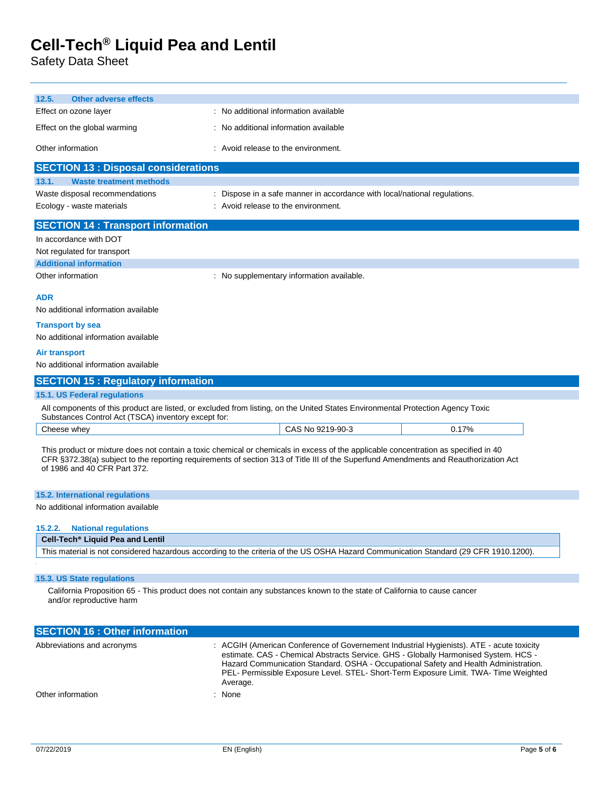Safety Data Sheet

| 12.5.<br><b>Other adverse effects</b>                                                                                                                                                                                                                                                                       |                                                                         |  |                                                                                                                                                                                                                                                                       |  |  |
|-------------------------------------------------------------------------------------------------------------------------------------------------------------------------------------------------------------------------------------------------------------------------------------------------------------|-------------------------------------------------------------------------|--|-----------------------------------------------------------------------------------------------------------------------------------------------------------------------------------------------------------------------------------------------------------------------|--|--|
| Effect on ozone layer                                                                                                                                                                                                                                                                                       | : No additional information available                                   |  |                                                                                                                                                                                                                                                                       |  |  |
| Effect on the global warming                                                                                                                                                                                                                                                                                | : No additional information available                                   |  |                                                                                                                                                                                                                                                                       |  |  |
| Other information                                                                                                                                                                                                                                                                                           | : Avoid release to the environment.                                     |  |                                                                                                                                                                                                                                                                       |  |  |
| <b>SECTION 13 : Disposal considerations</b>                                                                                                                                                                                                                                                                 |                                                                         |  |                                                                                                                                                                                                                                                                       |  |  |
| 13.1.<br><b>Waste treatment methods</b>                                                                                                                                                                                                                                                                     |                                                                         |  |                                                                                                                                                                                                                                                                       |  |  |
| Waste disposal recommendations                                                                                                                                                                                                                                                                              | Dispose in a safe manner in accordance with local/national regulations. |  |                                                                                                                                                                                                                                                                       |  |  |
| Ecology - waste materials                                                                                                                                                                                                                                                                                   | : Avoid release to the environment.                                     |  |                                                                                                                                                                                                                                                                       |  |  |
| <b>SECTION 14 : Transport information</b>                                                                                                                                                                                                                                                                   |                                                                         |  |                                                                                                                                                                                                                                                                       |  |  |
| In accordance with DOT                                                                                                                                                                                                                                                                                      |                                                                         |  |                                                                                                                                                                                                                                                                       |  |  |
| Not regulated for transport                                                                                                                                                                                                                                                                                 |                                                                         |  |                                                                                                                                                                                                                                                                       |  |  |
| <b>Additional information</b>                                                                                                                                                                                                                                                                               |                                                                         |  |                                                                                                                                                                                                                                                                       |  |  |
| Other information                                                                                                                                                                                                                                                                                           | : No supplementary information available.                               |  |                                                                                                                                                                                                                                                                       |  |  |
| ADR                                                                                                                                                                                                                                                                                                         |                                                                         |  |                                                                                                                                                                                                                                                                       |  |  |
| No additional information available                                                                                                                                                                                                                                                                         |                                                                         |  |                                                                                                                                                                                                                                                                       |  |  |
| <b>Transport by sea</b>                                                                                                                                                                                                                                                                                     |                                                                         |  |                                                                                                                                                                                                                                                                       |  |  |
| No additional information available                                                                                                                                                                                                                                                                         |                                                                         |  |                                                                                                                                                                                                                                                                       |  |  |
| Air transport                                                                                                                                                                                                                                                                                               |                                                                         |  |                                                                                                                                                                                                                                                                       |  |  |
| No additional information available                                                                                                                                                                                                                                                                         |                                                                         |  |                                                                                                                                                                                                                                                                       |  |  |
| <b>SECTION 15: Regulatory information</b>                                                                                                                                                                                                                                                                   |                                                                         |  |                                                                                                                                                                                                                                                                       |  |  |
| 15.1. US Federal regulations                                                                                                                                                                                                                                                                                |                                                                         |  |                                                                                                                                                                                                                                                                       |  |  |
| All components of this product are listed, or excluded from listing, on the United States Environmental Protection Agency Toxic<br>Substances Control Act (TSCA) inventory except for:                                                                                                                      |                                                                         |  |                                                                                                                                                                                                                                                                       |  |  |
| Cheese whey                                                                                                                                                                                                                                                                                                 | CAS No 9219-90-3                                                        |  | 0.17%                                                                                                                                                                                                                                                                 |  |  |
| This product or mixture does not contain a toxic chemical or chemicals in excess of the applicable concentration as specified in 40<br>CFR §372.38(a) subject to the reporting requirements of section 313 of Title III of the Superfund Amendments and Reauthorization Act<br>of 1986 and 40 CFR Part 372. |                                                                         |  |                                                                                                                                                                                                                                                                       |  |  |
| <b>15.2. International regulations</b>                                                                                                                                                                                                                                                                      |                                                                         |  |                                                                                                                                                                                                                                                                       |  |  |
| No additional information available                                                                                                                                                                                                                                                                         |                                                                         |  |                                                                                                                                                                                                                                                                       |  |  |
| <b>National regulations</b><br>15.2.2.                                                                                                                                                                                                                                                                      |                                                                         |  |                                                                                                                                                                                                                                                                       |  |  |
| Cell-Tech <sup>®</sup> Liquid Pea and Lentil                                                                                                                                                                                                                                                                |                                                                         |  |                                                                                                                                                                                                                                                                       |  |  |
| This material is not considered hazardous according to the criteria of the US OSHA Hazard Communication Standard (29 CFR 1910.1200).                                                                                                                                                                        |                                                                         |  |                                                                                                                                                                                                                                                                       |  |  |
| 15.3. US State regulations                                                                                                                                                                                                                                                                                  |                                                                         |  |                                                                                                                                                                                                                                                                       |  |  |
| California Proposition 65 - This product does not contain any substances known to the state of California to cause cancer<br>and/or reproductive harm                                                                                                                                                       |                                                                         |  |                                                                                                                                                                                                                                                                       |  |  |
| <b>SECTION 16 : Other information</b>                                                                                                                                                                                                                                                                       |                                                                         |  |                                                                                                                                                                                                                                                                       |  |  |
| Abbreviations and acronyms                                                                                                                                                                                                                                                                                  |                                                                         |  | : ACGIH (American Conference of Governement Industrial Hygienists). ATE - acute toxicity<br>estimate. CAS - Chemical Abstracts Service. GHS - Globally Harmonised System. HCS -<br>Hozard Communication Standard, OSHA, Occupational Safety and Hoalth Administration |  |  |